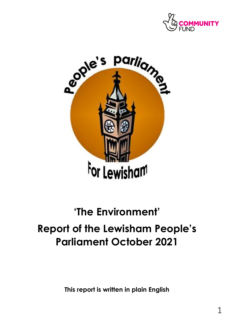



# **'The Environment' Report of the Lewisham People's Parliament October 2021**

**This report is written in plain English**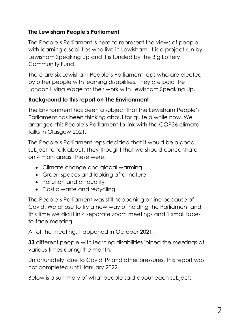# **The Lewisham People's Parliament**

The People's Parliament is here to represent the views of people with learning disabilities who live in Lewisham. It is a project run by Lewisham Speaking Up and it is funded by the Big Lottery Community Fund.

There are six Lewisham People's Parliament reps who are elected by other people with learning disabilities. They are paid the London Living Wage for their work with Lewisham Speaking Up.

# **Background to this report on The Environment**

The Environment has been a subject that the Lewisham People's Parliament has been thinking about for quite a while now. We arranged this People's Parliament to link with the COP26 climate talks in Glasgow 2021.

The People's Parliament reps decided that it would be a good subject to talk about. They thought that we should concentrate on 4 main areas. These were:

- Climate change and global warming
- Green spaces and looking after nature
- Pollution and air quality
- Plastic waste and recycling

The People's Parliament was still happening online because of Covid. We chose to try a new way of holding the Parliament and this time we did it in 4 separate zoom meetings and 1 small faceto-face meeting.

All of the meetings happened in October 2021.

**33** different people with learning disabilities joined the meetings at various times during the month.

Unfortunately, due to Covid 19 and other pressures, this report was not completed until January 2022.

Below is a summary of what people said about each subject: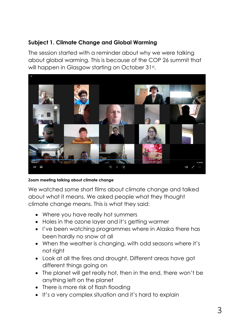#### **Subject 1. Climate Change and Global Warming**

The session started with a reminder about why we were talking about global warming. This is because of the COP 26 summit that will happen in Glasgow starting on October 31st.



#### **Zoom meeting talking about climate change**

We watched some short films about climate change and talked about what it means. We asked people what they thought climate change means. This is what they said:

- Where you have really hot summers
- Holes in the ozone layer and it's getting warmer
- I've been watching programmes where in Alaska there has been hardly no snow at all
- When the weather is changing, with odd seasons where it's not right
- Look at all the fires and drought. Different areas have got different things going on
- The planet will get really hot, then in the end, there won't be anything left on the planet
- There is more risk of flash flooding
- It's a very complex situation and it's hard to explain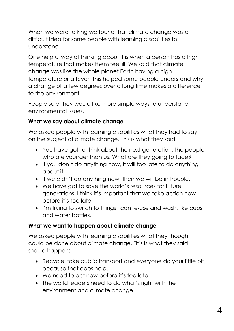When we were talking we found that climate change was a difficult idea for some people with learning disabilities to understand.

One helpful way of thinking about it is when a person has a high temperature that makes them feel ill. We said that climate change was like the whole planet Earth having a high temperature or a fever. This helped some people understand why a change of a few degrees over a long time makes a difference to the environment.

People said they would like more simple ways to understand environmental issues.

# **What we say about climate change**

We asked people with learning disabilities what they had to say on the subject of climate change. This is what they said:

- You have got to think about the next generation, the people who are younger than us. What are they going to face?
- If you don't do anything now, it will too late to do anything about it.
- If we didn't do anything now, then we will be in trouble.
- We have got to save the world's resources for future generations. I think it's important that we take action now before it's too late.
- I'm trying to switch to things I can re-use and wash, like cups and water bottles.

# **What we want to happen about climate change**

We asked people with learning disabilities what they thought could be done about climate change. This is what they said should happen:

- Recycle, take public transport and everyone do your little bit, because that does help.
- We need to act now before it's too late.
- The world leaders need to do what's right with the environment and climate change.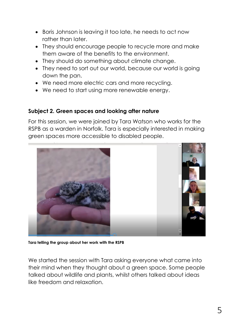- Boris Johnson is leaving it too late, he needs to act now rather than later.
- They should encourage people to recycle more and make them aware of the benefits to the environment.
- They should do something about climate change.
- They need to sort out our world, because our world is going down the pan.
- We need more electric cars and more recycling.
- We need to start using more renewable energy.

#### **Subject 2. Green spaces and looking after nature**

For this session, we were joined by Tara Watson who works for the RSPB as a warden in Norfolk. Tara is especially interested in making green spaces more accessible to disabled people.



**Tara telling the group about her work with the RSPB**

We started the session with Tara asking everyone what came into their mind when they thought about a green space. Some people talked about wildlife and plants, whilst others talked about ideas like freedom and relaxation.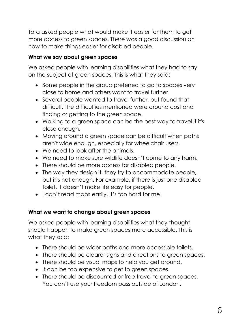Tara asked people what would make it easier for them to get more access to green spaces. There was a good discussion on how to make things easier for disabled people.

### **What we say about green spaces**

We asked people with learning disabilities what they had to say on the subject of green spaces. This is what they said:

- Some people in the group preferred to go to spaces very close to home and others want to travel further.
- Several people wanted to travel further, but found that difficult. The difficulties mentioned were around cost and finding or getting to the green space.
- Walking to a green space can be the best way to travel if it's close enough.
- Moving around a green space can be difficult when paths aren't wide enough, especially for wheelchair users.
- We need to look after the animals.
- We need to make sure wildlife doesn't come to any harm.
- There should be more access for disabled people.
- The way they design it, they try to accommodate people, but it's not enough. For example, if there is just one disabled toilet, it doesn't make life easy for people.
- I can't read maps easily, it's too hard for me.

#### **What we want to change about green spaces**

We asked people with learning disabilities what they thought should happen to make green spaces more accessible. This is what they said:

- There should be wider paths and more accessible toilets.
- There should be clearer signs and directions to green spaces.
- There should be visual maps to help you get around.
- It can be too expensive to get to green spaces.
- There should be discounted or free travel to green spaces. You can't use your freedom pass outside of London.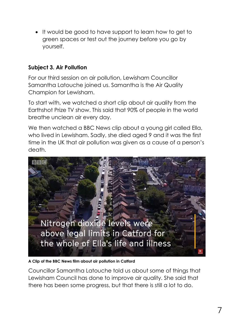It would be good to have support to learn how to get to green spaces or test out the journey before you go by yourself.

## **Subject 3. Air Pollution**

For our third session on air pollution, Lewisham Councillor Samantha Latouche joined us. Samantha is the Air Quality Champion for Lewisham.

To start with, we watched a short clip about air quality from the Earthshot Prize TV show. This said that 90% of people in the world breathe unclean air every day.

We then watched a BBC News clip about a young girl called Ella, who lived in Lewisham. Sadly, she died aged 9 and it was the first time in the UK that air pollution was given as a cause of a person's death.



**A Clip of the BBC News film about air pollution in Catford**

Councillor Samantha Latouche told us about some of things that Lewisham Council has done to improve air quality. She said that there has been some progress, but that there is still a lot to do.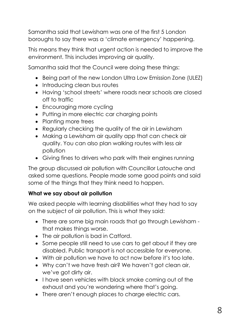Samantha said that Lewisham was one of the first 5 London boroughs to say there was a 'climate emergency' happening.

This means they think that urgent action is needed to improve the environment. This includes improving air quality.

Samantha said that the Council were doing these things:

- Being part of the new London Ultra Low Emission Zone (ULEZ)
- Introducing clean bus routes
- Having 'school streets' where roads near schools are closed off to traffic
- Encouraging more cycling
- Putting in more electric car charging points
- Planting more trees
- Regularly checking the quality of the air in Lewisham
- Making a Lewisham air quality app that can check air quality. You can also plan walking routes with less air pollution
- Giving fines to drivers who park with their engines running

The group discussed air pollution with Councillor Latouche and asked some questions. People made some good points and said some of the things that they think need to happen.

#### **What we say about air pollution**

We asked people with learning disabilities what they had to say on the subject of air pollution. This is what they said:

- There are some big main roads that go through Lewisham that makes things worse.
- The air pollution is bad in Catford.
- Some people still need to use cars to get about if they are disabled. Public transport is not accessible for everyone.
- With air pollution we have to act now before it's too late.
- Why can't we have fresh air? We haven't got clean air, we've got dirty air.
- I have seen vehicles with black smoke coming out of the exhaust and you're wondering where that's going.
- There aren't enough places to charge electric cars.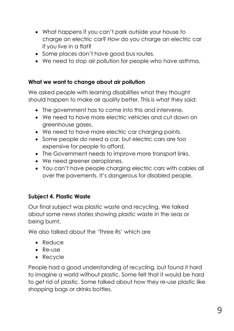- What happens if you can't park outside your house to charge an electric car? How do you charge an electric car if you live in a flat?
- Some places don't have good bus routes.
- We need to stop air pollution for people who have asthma.

#### **What we want to change about air pollution**

We asked people with learning disabilities what they thought should happen to make air quality better. This is what they said:

- The government has to come into this and intervene.
- We need to have more electric vehicles and cut down on greenhouse gases.
- We need to have more electric car charging points.
- Some people do need a car, but electric cars are too expensive for people to afford.
- The Government needs to improve more transport links.
- We need greener aeroplanes.
- You can't have people charging electric cars with cables all over the pavements. It's dangerous for disabled people.

#### **Subject 4. Plastic Waste**

Our final subject was plastic waste and recycling. We talked about some news stories showing plastic waste in the seas or being burnt.

We also talked about the 'Three Rs' which are

- Reduce
- Re-use
- Recycle

People had a good understanding of recycling, but found it hard to imagine a world without plastic. Some felt that it would be hard to get rid of plastic. Some talked about how they re-use plastic like shopping bags or drinks bottles.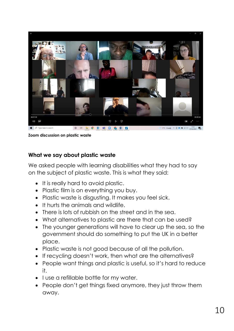

**Zoom discussion on plastic waste**

#### **What we say about plastic waste**

We asked people with learning disabilities what they had to say on the subject of plastic waste. This is what they said:

- It is really hard to avoid plastic.
- Plastic film is on everything you buy.
- Plastic waste is disgusting. It makes you feel sick.
- It hurts the animals and wildlife.
- There is lots of rubbish on the street and in the sea.
- What alternatives to plastic are there that can be used?
- The younger generations will have to clear up the sea, so the government should do something to put the UK in a better place.
- Plastic waste is not good because of all the pollution.
- If recycling doesn't work, then what are the alternatives?
- People want things and plastic is useful, so it's hard to reduce it.
- I use a refillable bottle for my water.
- People don't get things fixed anymore, they just throw them away.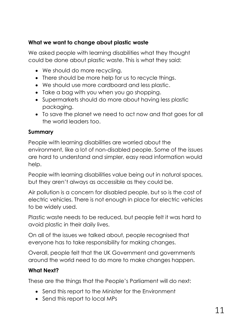# **What we want to change about plastic waste**

We asked people with learning disabilities what they thought could be done about plastic waste. This is what they said:

- We should do more recycling.
- There should be more help for us to recycle things.
- We should use more cardboard and less plastic.
- Take a bag with you when you go shopping.
- Supermarkets should do more about having less plastic packaging.
- To save the planet we need to act now and that goes for all the world leaders too.

### **Summary**

People with learning disabilities are worried about the environment, like a lot of non-disabled people. Some of the issues are hard to understand and simpler, easy read information would help.

People with learning disabilities value being out in natural spaces, but they aren't always as accessible as they could be.

Air pollution is a concern for disabled people, but so is the cost of electric vehicles. There is not enough in place for electric vehicles to be widely used.

Plastic waste needs to be reduced, but people felt it was hard to avoid plastic in their daily lives.

On all of the issues we talked about, people recognised that everyone has to take responsibility for making changes.

Overall, people felt that the UK Government and governments around the world need to do more to make changes happen.

# **What Next?**

These are the things that the People's Parliament will do next:

- Send this report to the Minister for the Environment
- Send this report to local MPs